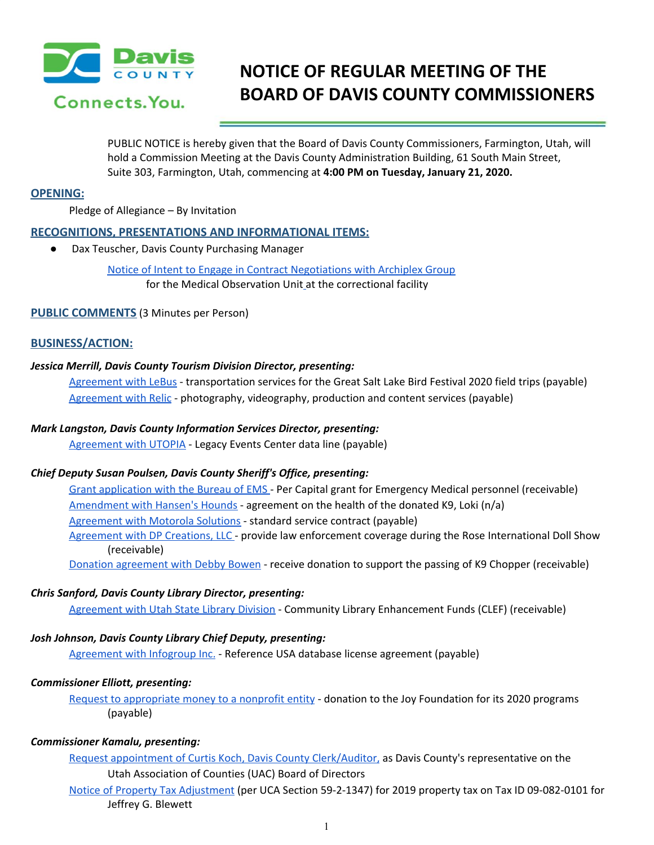

# **NOTICE OF REGULAR MEETING OF THE BOARD OF DAVIS COUNTY COMMISSIONERS**

PUBLIC NOTICE is hereby given that the Board of Davis County Commissioners, Farmington, Utah, will hold a Commission Meeting at the Davis County Administration Building, 61 South Main Street, Suite 303, Farmington, Utah, commencing at **4:00 PM on Tuesday, January 21, 2020.**

# **OPENING:**

Pledge of Allegiance – By Invitation

## **RECOGNITIONS, PRESENTATIONS AND INFORMATIONAL ITEMS:**

● Dax Teuscher, Davis County Purchasing Manager

Notice of Intent to Engage in Contract [Negotiations](https://drive.google.com/a/co.davis.ut.us/file/d/1XbgtnD7q2iRTA9lQ26rEAl1BOsB0QOHJ/view?usp=drivesdk) with Archiplex Group for the Medical Observation Unit at the correctional facility

## **PUBLIC COMMENTS** (3 Minutes per Person)

## **BUSINESS/ACTION:**

## *Jessica Merrill, Davis County Tourism Division Director, presenting:*

[Agreement](https://drive.google.com/a/co.davis.ut.us/file/d/1JYy5nr6aNpio4Q_AqHLd-RsJCTDhDL-L/view?usp=drivesdk) with LeBus - transportation services for the Great Salt Lake Bird Festival 2020 field trips (payable[\)](https://drive.google.com/a/co.davis.ut.us/file/d/1JYy5nr6aNpio4Q_AqHLd-RsJCTDhDL-L/view?usp=drivesdk) [Agreement](https://drive.google.com/a/co.davis.ut.us/file/d/1U6NCTTtcX4hfmOsf6QSLkb2BLAZO5tlE/view?usp=drivesdk) with Relic - photography, videography, production and content services (payable)

## *Mark Langston, Davis County Information Services Director, presenting:*

[Agreement](https://drive.google.com/a/co.davis.ut.us/file/d/1RCckG6xTceJmmP-dHAzNTzhIwEXh_8q3/view?usp=drivesdk) with UTOPIA - Legacy Events Center data line (payable)

### *Chief Deputy Susan Poulsen, Davis County Sheriff's Office, presenting:*

Grant [application](https://drive.google.com/a/co.davis.ut.us/file/d/1vcT-IaZTEQTPir9LLm_FkBXaeQQUEmuL/view?usp=drivesdk) with the Bureau of EMS - Per Capital grant for Emergency Medical personnel (receivable) [Amendment](https://drive.google.com/a/co.davis.ut.us/file/d/1mxNUtCwLvuzBRn5UIcDrGsrl6AmnOOT6/view?usp=drivesdk) with Hansen's Hounds - agreement on the health of the donated K9, Loki (n/a) [Agreement](https://drive.google.com/a/co.davis.ut.us/file/d/1-FOaRmuhaia0IdcweGN_Xr3TXxNL7kYn/view?usp=drivesdk) with Motorola Solutions - standard service contract (payable) [Agreement](https://drive.google.com/a/co.davis.ut.us/file/d/1ty6NSSCqY8F2Fs5c2T0kHv37iud9MlLH/view?usp=drivesdk) with DP Creations, LLC - provide law enforcement coverage during the Rose International Doll Show (receivable)

Donation [agreement](https://drive.google.com/a/co.davis.ut.us/file/d/1m5q9RhHnmFhD3UYFuPACbGtLPwm-K_lt/view?usp=drivesdk) with Debby Bowen - receive donation to support the passing of K9 Chopper (receivable)

### *Chris Sanford, Davis County Library Director, presenting:*

[Agreement](https://drive.google.com/a/co.davis.ut.us/file/d/16MNCVqgmT-k78sRgBUEYG4OZoCaViYT6/view?usp=drivesdk) with Utah State Library Division - Community Library Enhancement Funds (CLEF) (receivable)

### *Josh Johnson, Davis County Library Chief Deputy, presenting:*

[Agreement](https://drive.google.com/a/co.davis.ut.us/file/d/122GjAkDDS1fm7VOE1eOjeC6NwbPl4YIA/view?usp=drivesdk) with Infogroup Inc. - Reference USA database license agreement (payable)

## *Commissioner Elliott, presenting:*

Request to [appropriate](https://drive.google.com/a/co.davis.ut.us/file/d/1VBISWJ7_VF3bArS_0AYPEpzsjQJwH1R9/view?usp=drivesdk) money to a nonprofit entity - donation to the Joy Foundation for its 2020 programs (payable)

# *Commissioner Kamalu, presenting:*

Request appointment of Curtis Koch, Davis County [Clerk/Auditor,](https://drive.google.com/a/co.davis.ut.us/file/d/1WnQ4774pHwGzmTSTglFnTu36PAlhqoUy/view?usp=drivesdk) as Davis County's representative on the Utah Association of Counties (UAC) Board of Directors

Notice of Property Tax [Adjustment](https://drive.google.com/a/co.davis.ut.us/file/d/1HyE9S7u3hk0tMBrPf-EmraQnQGP4tu1N/view?usp=drivesdk) (per UCA Section 59-2-1347) for 2019 property tax on Tax ID 09-082-0101 for Jeffrey G. Blewett